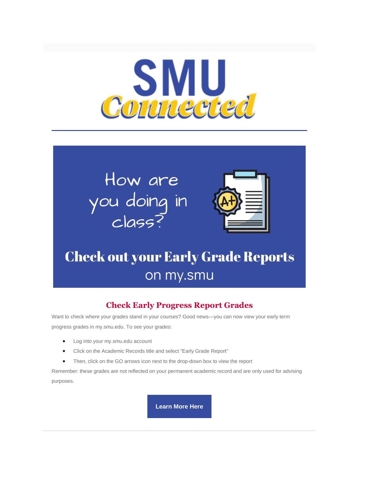

# How are you doing in<br>class?



# **Check out your Early Grade Reports** on my.smu

### **Check Early Progress Report Grades**

Want to check where your grades stand in your courses? Good news—you can now view your early term progress grades in my.smu.edu. To see your grades:

- Log into your my.smu.edu account
- Click on the Academic Records title and select "Early Grade Report"
- Then, click on the GO arrows icon next to the drop-down box to view the report

Remember: these grades are not reflected on your permanent academic record and are only used for advising purposes.

**[Learn More Here](https://www.smu.edu/EnrollmentServices/registrar/AcademicRecords/ProgressGrades)**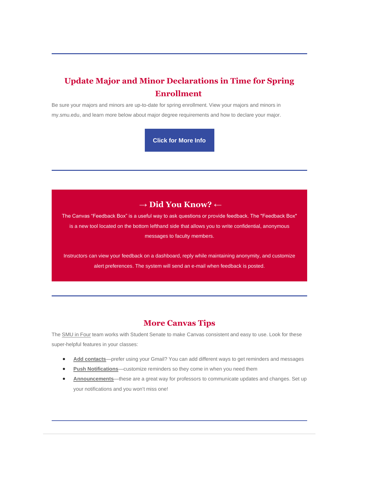## **Update Major and Minor Declarations in Time for Spring Enrollment**

Be sure your majors and minors are up-to-date for spring enrollment. View your majors and minors in my.smu.edu, and learn more below about major degree requirements and how to declare your major.

**[Click for More Info](https://www.smu.edu/Provost/ProvostOffice/SAES/UAC/FAQs/Majors-Minors)**

#### **→ Did You Know? ←**

The Canvas "Feedback Box" is a useful way to ask questions or provide feedback. The "Feedback Box" is a new tool located on the bottom lefthand side that allows you to write confidential, anonymous messages to faculty members.

Instructors can view your feedback on a dashboard, reply while maintaining anonymity, and customize alert preferences. The system will send an e-mail when feedback is posted.

#### **More Canvas Tips**

The [SMU in Four](https://www.smu.edu/Provost/ProvostOffice/SAES/AcademicInitiatives) team works with Student Senate to make Canvas consistent and easy to use. Look for these super-helpful features in your classes:

- **[Add contacts](https://community.canvaslms.com/t5/Student-Guide/How-do-I-add-contact-methods-to-receive-Canvas-notifications-as/ta-p/516)**—prefer using your Gmail? You can add different ways to get reminders and messages
- **[Push Notifications](https://community.canvaslms.com/t5/Student-Guide/How-do-I-set-my-Canvas-notification-preferences-as-a-student/ta-p/434)**—customize reminders so they come in when you need them
- **[Announcements](https://community.canvaslms.com/t5/Student-Guide/How-do-I-view-Announcements-as-a-student/ta-p/417)**—these are a great way for professors to communicate updates and changes. Set up your notifications and you won't miss one!